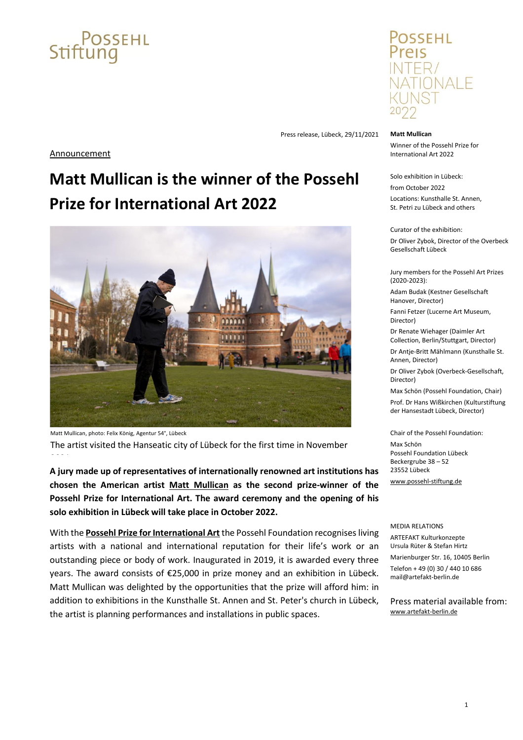# $C$ POSSEHL

OSSEHL NTER/ VATIONALE

### **Matt Mullican**

Winner of the Possehl Prize for International Art 2022

Solo exhibition in Lübeck:

from October 2022 Locations: Kunsthalle St. Annen, St. Petri zu Lübeck and others

Curator of the exhibition:

Dr Oliver Zybok, Director of the Overbeck Gesellschaft Lübeck

Jury members for the Possehl Art Prizes (2020-2023):

Adam Budak (Kestner Gesellschaft Hanover, Director)

Fanni Fetzer (Lucerne Art Museum, Director)

Dr Renate Wiehager (Daimler Art Collection, Berlin/Stuttgart, Director)

Dr Antje-Britt Mählmann (Kunsthalle St. Annen, Director)

Dr Oliver Zybok (Overbeck-Gesellschaft, Director)

Max Schön (Possehl Foundation, Chair) Prof. Dr Hans Wißkirchen (Kulturstiftung der Hansestadt Lübeck, Director)

Chair of the Possehl Foundation: Max Schön Possehl Foundation Lübeck Beckergrube 38 – 52 23552 Lübeck [www.possehl-stiftung.de](https://www.possehl-stiftung.de/en/index.html)

MEDIA RELATIONS ARTEFAKT Kulturkonzepte Ursula Rüter & Stefan Hirtz

Marienburger Str. 16, 10405 Berlin Telefon + 49 (0) 30 / 440 10 686 [mail@artefakt-berlin.de](mailto:mail@artefakt-berlin.de)

Press material available from: [www.artefakt-berlin.de](http://www.artefakt-berlin.de/)

Press release, Lübeck, 29/11/2021

## **Announcement**

## **Matt Mullican is the winner of the Possehl Prize for International Art 2022**



Matt Mullican, photo: Felix König, Agentur 54°, Lübeck The artist visited the Hanseatic city of Lübeck for the first time in November

**A jury made up of representatives of internationally renowned art institutions has chosen the American artist Matt [Mullican](https://www.possehl-stiftung.de/en/wie-wir-gestalten/auszeichnungen-der-possehl-stiftung/possehl-preise-fuer-kunst/international-2022-matt-mullican.html) as the second prize-winner of the Possehl Prize for International Art. The award ceremony and the opening of his solo exhibition in Lübeck will take place in October 2022.**

With the **Possehl Prize for International Art** the Possehl Foundation recognises living artists with a national and international reputation for their life's work or an outstanding piece or body of work. Inaugurated in 2019, it is awarded every three years. The award consists of €25,000 in prize money and an exhibition in Lübeck. Matt Mullican was delighted by the opportunities that the prize will afford him: in addition to exhibitions in the Kunsthalle St. Annen and St. Peter's church in Lübeck, the artist is planning performances and installations in public spaces.